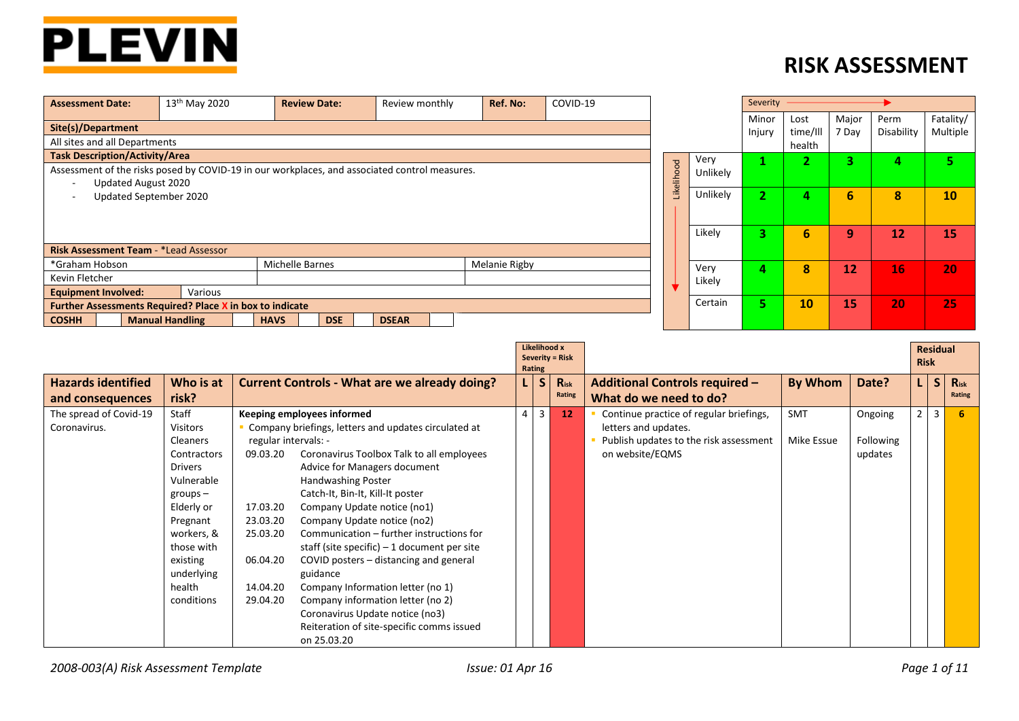

| <b>Assessment Date:</b>                                                                       | 13th May 2020                                                       | <b>Review Date:</b> | Review monthly | <b>Ref. No:</b> | COVID-19 | Severity   |          |                |               |           |                          |           |  |  |  |
|-----------------------------------------------------------------------------------------------|---------------------------------------------------------------------|---------------------|----------------|-----------------|----------|------------|----------|----------------|---------------|-----------|--------------------------|-----------|--|--|--|
|                                                                                               |                                                                     |                     |                |                 |          |            |          | Minor          | Major<br>Lost |           | Perm                     | Fatality/ |  |  |  |
| Site(s)/Department                                                                            |                                                                     |                     |                |                 |          |            |          | Injury         | time/Ill      | 7 Day     | Disability               | Multiple  |  |  |  |
| All sites and all Departments                                                                 |                                                                     |                     |                |                 |          |            |          |                | health        |           |                          |           |  |  |  |
| <b>Task Description/Activity/Area</b>                                                         |                                                                     |                     |                |                 |          |            | Very     | 1              | ÷.            | 3         | 4                        | 5.        |  |  |  |
| Assessment of the risks posed by COVID-19 in our workplaces, and associated control measures. |                                                                     |                     |                |                 |          | Likelihood | Unlikely |                |               |           |                          |           |  |  |  |
| Updated August 2020<br>$\overline{\phantom{a}}$                                               |                                                                     |                     |                |                 |          |            |          |                |               |           |                          |           |  |  |  |
| $\overline{\phantom{a}}$                                                                      | Updated September 2020                                              |                     |                |                 |          |            |          | $\overline{2}$ |               | 6         | 8                        | 10        |  |  |  |
|                                                                                               |                                                                     |                     |                |                 |          |            |          |                |               |           |                          |           |  |  |  |
|                                                                                               |                                                                     |                     |                |                 |          |            |          |                |               |           |                          |           |  |  |  |
|                                                                                               |                                                                     |                     |                |                 |          |            | Likely   | 3              | 6             | 9         | 12                       | 15        |  |  |  |
| <b>Risk Assessment Team - *Lead Assessor</b>                                                  |                                                                     |                     |                |                 |          |            |          |                |               |           |                          |           |  |  |  |
| *Graham Hobson                                                                                |                                                                     | Michelle Barnes     |                | Melanie Rigby   |          |            | Very     | 4              | 8             | 12        | $\overline{\mathbf{16}}$ | 20        |  |  |  |
| Kevin Fletcher                                                                                |                                                                     |                     |                |                 |          |            | Likely   |                |               |           |                          |           |  |  |  |
| <b>Equipment Involved:</b>                                                                    | Various                                                             |                     |                |                 |          |            |          |                |               |           |                          |           |  |  |  |
|                                                                                               | Further Assessments Required? Place X in box to indicate            |                     |                |                 |          |            |          | 5.             | 10            | <b>15</b> | 20                       | 25        |  |  |  |
| <b>COSHH</b>                                                                                  | <b>Manual Handling</b><br><b>DSE</b><br><b>DSEAR</b><br><b>HAVS</b> |                     |                |                 |          |            |          |                |               |           |                          |           |  |  |  |

|                           |                 |                      |                                                      |   | Likelihood x<br><b>Severity = Risk</b><br>Rating |           |                                         |                |           |                |                | <b>Residual</b> |
|---------------------------|-----------------|----------------------|------------------------------------------------------|---|--------------------------------------------------|-----------|-----------------------------------------|----------------|-----------|----------------|----------------|-----------------|
| <b>Hazards identified</b> | Who is at       |                      | <b>Current Controls - What are we already doing?</b> |   | S.                                               | $R_{isk}$ | <b>Additional Controls required -</b>   | <b>By Whom</b> | Date?     |                | S.             | Risk            |
| and consequences          | risk?           |                      |                                                      |   |                                                  | Rating    | What do we need to do?                  |                |           |                |                | Rating          |
| The spread of Covid-19    | Staff           |                      | Keeping employees informed                           | 4 | $\overline{3}$                                   | <b>12</b> | Continue practice of regular briefings, | <b>SMT</b>     | Ongoing   | $\overline{2}$ | $\overline{3}$ | -6              |
| Coronavirus.              | <b>Visitors</b> |                      | Company briefings, letters and updates circulated at |   |                                                  |           | letters and updates.                    |                |           |                |                |                 |
|                           | <b>Cleaners</b> | regular intervals: - |                                                      |   |                                                  |           | Publish updates to the risk assessment  | Mike Essue     | Following |                |                |                 |
|                           | Contractors     | 09.03.20             | Coronavirus Toolbox Talk to all employees            |   |                                                  |           | on website/EQMS                         |                | updates   |                |                |                 |
|                           | <b>Drivers</b>  |                      | Advice for Managers document                         |   |                                                  |           |                                         |                |           |                |                |                 |
|                           | Vulnerable      |                      | Handwashing Poster                                   |   |                                                  |           |                                         |                |           |                |                |                 |
|                           | $groups -$      |                      | Catch-It, Bin-It, Kill-It poster                     |   |                                                  |           |                                         |                |           |                |                |                 |
|                           | Elderly or      | 17.03.20             | Company Update notice (no1)                          |   |                                                  |           |                                         |                |           |                |                |                 |
|                           | Pregnant        | 23.03.20             | Company Update notice (no2)                          |   |                                                  |           |                                         |                |           |                |                |                 |
|                           | workers, &      | 25.03.20             | Communication – further instructions for             |   |                                                  |           |                                         |                |           |                |                |                 |
|                           | those with      |                      | staff (site specific) $-1$ document per site         |   |                                                  |           |                                         |                |           |                |                |                 |
|                           | existing        | 06.04.20             | COVID posters – distancing and general               |   |                                                  |           |                                         |                |           |                |                |                 |
|                           | underlying      |                      | guidance                                             |   |                                                  |           |                                         |                |           |                |                |                 |
|                           | health          | 14.04.20             | Company Information letter (no 1)                    |   |                                                  |           |                                         |                |           |                |                |                 |
|                           | conditions      | 29.04.20             | Company information letter (no 2)                    |   |                                                  |           |                                         |                |           |                |                |                 |
|                           |                 |                      | Coronavirus Update notice (no3)                      |   |                                                  |           |                                         |                |           |                |                |                 |
|                           |                 |                      | Reiteration of site-specific comms issued            |   |                                                  |           |                                         |                |           |                |                |                 |
|                           |                 |                      | on 25.03.20                                          |   |                                                  |           |                                         |                |           |                |                |                 |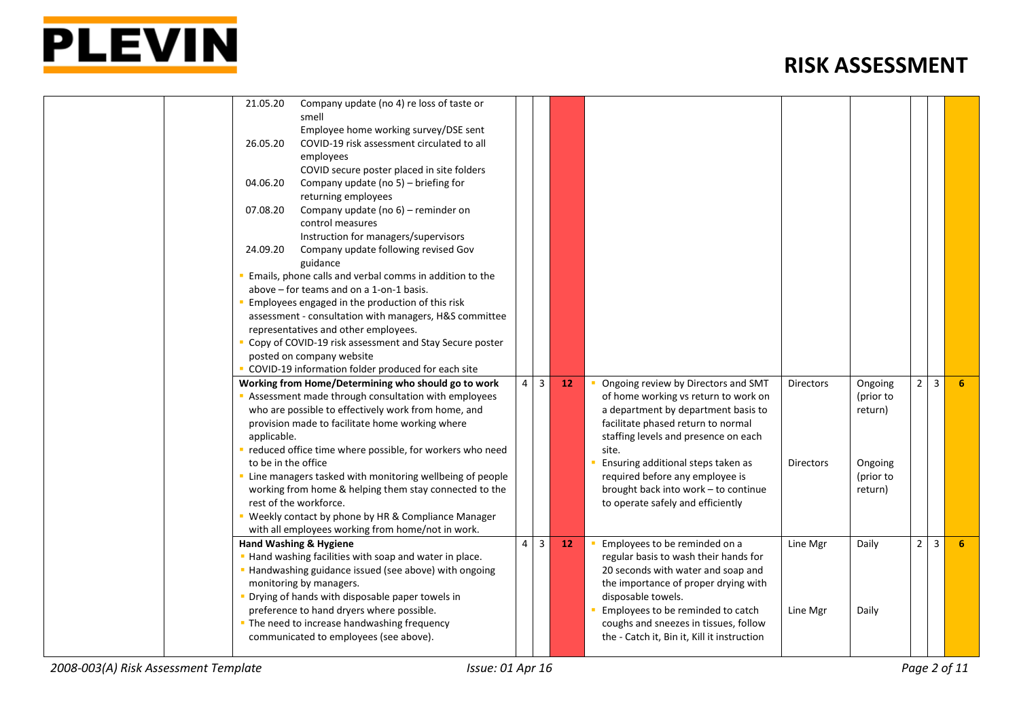

| 21.05.20<br>Company update (no 4) re loss of taste or<br>smell<br>Employee home working survey/DSE sent<br>26.05.20<br>COVID-19 risk assessment circulated to all<br>employees<br>COVID secure poster placed in site folders<br>04.06.20<br>Company update (no 5) - briefing for<br>returning employees<br>Company update (no 6) - reminder on<br>07.08.20<br>control measures<br>Instruction for managers/supervisors |                                           |    |                                                                                                                                                                                                                                                 |                                      |                                            |                |   |   |
|------------------------------------------------------------------------------------------------------------------------------------------------------------------------------------------------------------------------------------------------------------------------------------------------------------------------------------------------------------------------------------------------------------------------|-------------------------------------------|----|-------------------------------------------------------------------------------------------------------------------------------------------------------------------------------------------------------------------------------------------------|--------------------------------------|--------------------------------------------|----------------|---|---|
| 24.09.20<br>Company update following revised Gov<br>guidance<br>Emails, phone calls and verbal comms in addition to the<br>above – for teams and on a 1-on-1 basis.<br>Employees engaged in the production of this risk<br>assessment - consultation with managers, H&S committee<br>representatives and other employees.                                                                                              |                                           |    |                                                                                                                                                                                                                                                 |                                      |                                            |                |   |   |
| Copy of COVID-19 risk assessment and Stay Secure poster<br>posted on company website<br>COVID-19 information folder produced for each site                                                                                                                                                                                                                                                                             |                                           |    |                                                                                                                                                                                                                                                 |                                      |                                            |                |   |   |
| Working from Home/Determining who should go to work<br>Assessment made through consultation with employees<br>who are possible to effectively work from home, and<br>provision made to facilitate home working where<br>applicable.<br>reduced office time where possible, for workers who need<br>to be in the office                                                                                                 | $\overline{4}$<br>$\overline{3}$          | 12 | Ongoing review by Directors and SMT<br>of home working vs return to work on<br>a department by department basis to<br>facilitate phased return to normal<br>staffing levels and presence on each<br>site.<br>Ensuring additional steps taken as | <b>Directors</b><br><b>Directors</b> | Ongoing<br>(prior to<br>return)<br>Ongoing | $2^{\circ}$    | 3 | 6 |
| " Line managers tasked with monitoring wellbeing of people<br>working from home & helping them stay connected to the<br>rest of the workforce.<br>Weekly contact by phone by HR & Compliance Manager<br>with all employees working from home/not in work.                                                                                                                                                              |                                           |    | required before any employee is<br>brought back into work - to continue<br>to operate safely and efficiently                                                                                                                                    |                                      | (prior to<br>return)                       |                |   |   |
| <b>Hand Washing &amp; Hygiene</b><br>" Hand washing facilities with soap and water in place.<br>" Handwashing guidance issued (see above) with ongoing<br>monitoring by managers.<br>• Drying of hands with disposable paper towels in                                                                                                                                                                                 | $\overline{4}$<br>$\overline{\mathbf{3}}$ | 12 | Employees to be reminded on a<br>regular basis to wash their hands for<br>20 seconds with water and soap and<br>the importance of proper drying with<br>disposable towels.                                                                      | Line Mgr                             | Daily                                      | $\overline{2}$ | 3 | 6 |
| preference to hand dryers where possible.<br>• The need to increase handwashing frequency<br>communicated to employees (see above).                                                                                                                                                                                                                                                                                    |                                           |    | Employees to be reminded to catch<br>coughs and sneezes in tissues, follow<br>the - Catch it, Bin it, Kill it instruction                                                                                                                       | Line Mgr                             | Daily                                      |                |   |   |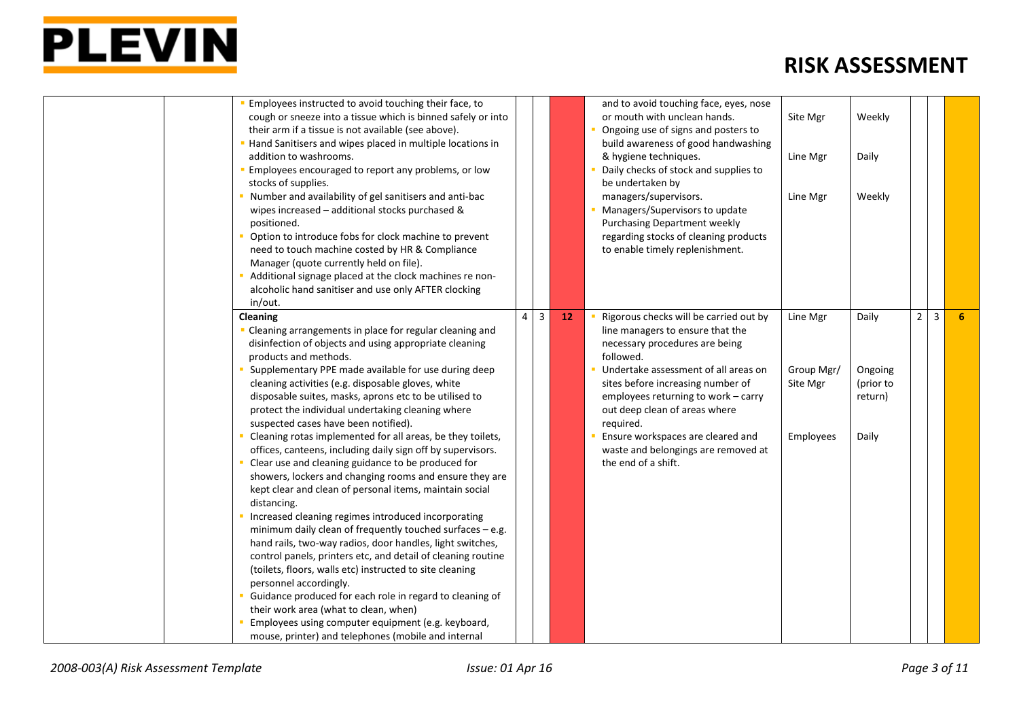

| Employees instructed to avoid touching their face, to<br>cough or sneeze into a tissue which is binned safely or into<br>their arm if a tissue is not available (see above).<br>Hand Sanitisers and wipes placed in multiple locations in<br>addition to washrooms.<br>Employees encouraged to report any problems, or low<br>stocks of supplies.<br>Number and availability of gel sanitisers and anti-bac<br>wipes increased - additional stocks purchased &<br>positioned.<br>Option to introduce fobs for clock machine to prevent<br>need to touch machine costed by HR & Compliance<br>Manager (quote currently held on file).<br>Additional signage placed at the clock machines re non-<br>alcoholic hand sanitiser and use only AFTER clocking<br>in/out.                                                                                                                                                                                                                                                                                                                                                                                                                                                                                                                                           |                                  | and to avoid touching face, eyes, nose<br>or mouth with unclean hands.<br>Site Mgr<br>Weekly<br>Ongoing use of signs and posters to<br>build awareness of good handwashing<br>& hygiene techniques.<br>Line Mgr<br>Daily<br>Daily checks of stock and supplies to<br>be undertaken by<br>managers/supervisors.<br>Line Mgr<br>Weekly<br>Managers/Supervisors to update<br><b>Purchasing Department weekly</b><br>regarding stocks of cleaning products<br>to enable timely replenishment.                                                                     |  |
|--------------------------------------------------------------------------------------------------------------------------------------------------------------------------------------------------------------------------------------------------------------------------------------------------------------------------------------------------------------------------------------------------------------------------------------------------------------------------------------------------------------------------------------------------------------------------------------------------------------------------------------------------------------------------------------------------------------------------------------------------------------------------------------------------------------------------------------------------------------------------------------------------------------------------------------------------------------------------------------------------------------------------------------------------------------------------------------------------------------------------------------------------------------------------------------------------------------------------------------------------------------------------------------------------------------|----------------------------------|---------------------------------------------------------------------------------------------------------------------------------------------------------------------------------------------------------------------------------------------------------------------------------------------------------------------------------------------------------------------------------------------------------------------------------------------------------------------------------------------------------------------------------------------------------------|--|
| Cleaning<br>Cleaning arrangements in place for regular cleaning and<br>disinfection of objects and using appropriate cleaning<br>products and methods.<br>Supplementary PPE made available for use during deep<br>cleaning activities (e.g. disposable gloves, white<br>disposable suites, masks, aprons etc to be utilised to<br>protect the individual undertaking cleaning where<br>suspected cases have been notified).<br>Cleaning rotas implemented for all areas, be they toilets,<br>offices, canteens, including daily sign off by supervisors.<br>Clear use and cleaning guidance to be produced for<br>showers, lockers and changing rooms and ensure they are<br>kept clear and clean of personal items, maintain social<br>distancing.<br>Increased cleaning regimes introduced incorporating<br>minimum daily clean of frequently touched surfaces - e.g.<br>hand rails, two-way radios, door handles, light switches,<br>control panels, printers etc, and detail of cleaning routine<br>(toilets, floors, walls etc) instructed to site cleaning<br>personnel accordingly.<br>Guidance produced for each role in regard to cleaning of<br>their work area (what to clean, when)<br>Employees using computer equipment (e.g. keyboard,<br>mouse, printer) and telephones (mobile and internal | $\overline{3}$<br>$\overline{4}$ | $2^{\circ}$<br>$\mathbf{3}$<br>6 <sup>1</sup><br>12<br>Rigorous checks will be carried out by<br>Daily<br>Line Mgr<br>line managers to ensure that the<br>necessary procedures are being<br>followed.<br>Undertake assessment of all areas on<br>Group Mgr/<br>Ongoing<br>sites before increasing number of<br>Site Mgr<br>(prior to<br>employees returning to work – carry<br>return)<br>out deep clean of areas where<br>required.<br>Ensure workspaces are cleared and<br>Employees<br>Daily<br>waste and belongings are removed at<br>the end of a shift. |  |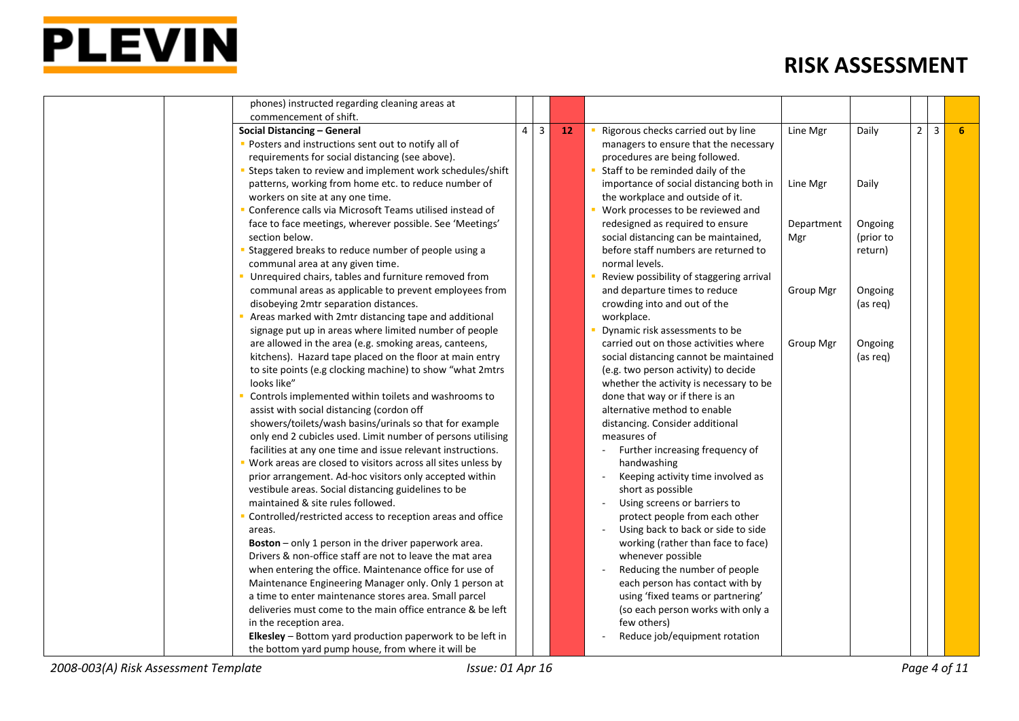

| commencement of shift.<br>$\overline{3}$<br>$2^{\circ}$<br>$\overline{4}$<br>$\overline{3}$<br>Social Distancing - General<br>12<br>Rigorous checks carried out by line<br>Daily<br>Line Mgr<br>Posters and instructions sent out to notify all of<br>managers to ensure that the necessary<br>requirements for social distancing (see above).<br>procedures are being followed.<br>Steps taken to review and implement work schedules/shift<br>Staff to be reminded daily of the<br>patterns, working from home etc. to reduce number of<br>importance of social distancing both in<br>Daily<br>Line Mgr<br>workers on site at any one time.<br>the workplace and outside of it.<br>Conference calls via Microsoft Teams utilised instead of<br>Work processes to be reviewed and<br>face to face meetings, wherever possible. See 'Meetings'<br>redesigned as required to ensure<br>Department<br>Ongoing<br>section below.<br>social distancing can be maintained,<br>(prior to<br>Mgr<br>before staff numbers are returned to<br>Staggered breaks to reduce number of people using a<br>return)<br>normal levels.<br>communal area at any given time.<br>Unrequired chairs, tables and furniture removed from<br>Review possibility of staggering arrival<br>communal areas as applicable to prevent employees from<br>and departure times to reduce<br><b>Group Mgr</b><br>Ongoing<br>crowding into and out of the<br>disobeying 2mtr separation distances.<br>(as reg)<br>Areas marked with 2mtr distancing tape and additional<br>workplace.<br>signage put up in areas where limited number of people<br>Dynamic risk assessments to be<br>carried out on those activities where<br>are allowed in the area (e.g. smoking areas, canteens,<br><b>Group Mgr</b><br>Ongoing<br>kitchens). Hazard tape placed on the floor at main entry<br>social distancing cannot be maintained<br>(as req)<br>to site points (e.g clocking machine) to show "what 2mtrs<br>(e.g. two person activity) to decide<br>looks like"<br>whether the activity is necessary to be<br>Controls implemented within toilets and washrooms to<br>done that way or if there is an<br>assist with social distancing (cordon off<br>alternative method to enable<br>distancing. Consider additional |                |
|-------------------------------------------------------------------------------------------------------------------------------------------------------------------------------------------------------------------------------------------------------------------------------------------------------------------------------------------------------------------------------------------------------------------------------------------------------------------------------------------------------------------------------------------------------------------------------------------------------------------------------------------------------------------------------------------------------------------------------------------------------------------------------------------------------------------------------------------------------------------------------------------------------------------------------------------------------------------------------------------------------------------------------------------------------------------------------------------------------------------------------------------------------------------------------------------------------------------------------------------------------------------------------------------------------------------------------------------------------------------------------------------------------------------------------------------------------------------------------------------------------------------------------------------------------------------------------------------------------------------------------------------------------------------------------------------------------------------------------------------------------------------------------------------------------------------------------------------------------------------------------------------------------------------------------------------------------------------------------------------------------------------------------------------------------------------------------------------------------------------------------------------------------------------------------------------------------------------------------------------------------------------------------|----------------|
|                                                                                                                                                                                                                                                                                                                                                                                                                                                                                                                                                                                                                                                                                                                                                                                                                                                                                                                                                                                                                                                                                                                                                                                                                                                                                                                                                                                                                                                                                                                                                                                                                                                                                                                                                                                                                                                                                                                                                                                                                                                                                                                                                                                                                                                                               |                |
|                                                                                                                                                                                                                                                                                                                                                                                                                                                                                                                                                                                                                                                                                                                                                                                                                                                                                                                                                                                                                                                                                                                                                                                                                                                                                                                                                                                                                                                                                                                                                                                                                                                                                                                                                                                                                                                                                                                                                                                                                                                                                                                                                                                                                                                                               | 6 <sup>1</sup> |
|                                                                                                                                                                                                                                                                                                                                                                                                                                                                                                                                                                                                                                                                                                                                                                                                                                                                                                                                                                                                                                                                                                                                                                                                                                                                                                                                                                                                                                                                                                                                                                                                                                                                                                                                                                                                                                                                                                                                                                                                                                                                                                                                                                                                                                                                               |                |
|                                                                                                                                                                                                                                                                                                                                                                                                                                                                                                                                                                                                                                                                                                                                                                                                                                                                                                                                                                                                                                                                                                                                                                                                                                                                                                                                                                                                                                                                                                                                                                                                                                                                                                                                                                                                                                                                                                                                                                                                                                                                                                                                                                                                                                                                               |                |
|                                                                                                                                                                                                                                                                                                                                                                                                                                                                                                                                                                                                                                                                                                                                                                                                                                                                                                                                                                                                                                                                                                                                                                                                                                                                                                                                                                                                                                                                                                                                                                                                                                                                                                                                                                                                                                                                                                                                                                                                                                                                                                                                                                                                                                                                               |                |
|                                                                                                                                                                                                                                                                                                                                                                                                                                                                                                                                                                                                                                                                                                                                                                                                                                                                                                                                                                                                                                                                                                                                                                                                                                                                                                                                                                                                                                                                                                                                                                                                                                                                                                                                                                                                                                                                                                                                                                                                                                                                                                                                                                                                                                                                               |                |
|                                                                                                                                                                                                                                                                                                                                                                                                                                                                                                                                                                                                                                                                                                                                                                                                                                                                                                                                                                                                                                                                                                                                                                                                                                                                                                                                                                                                                                                                                                                                                                                                                                                                                                                                                                                                                                                                                                                                                                                                                                                                                                                                                                                                                                                                               |                |
|                                                                                                                                                                                                                                                                                                                                                                                                                                                                                                                                                                                                                                                                                                                                                                                                                                                                                                                                                                                                                                                                                                                                                                                                                                                                                                                                                                                                                                                                                                                                                                                                                                                                                                                                                                                                                                                                                                                                                                                                                                                                                                                                                                                                                                                                               |                |
|                                                                                                                                                                                                                                                                                                                                                                                                                                                                                                                                                                                                                                                                                                                                                                                                                                                                                                                                                                                                                                                                                                                                                                                                                                                                                                                                                                                                                                                                                                                                                                                                                                                                                                                                                                                                                                                                                                                                                                                                                                                                                                                                                                                                                                                                               |                |
|                                                                                                                                                                                                                                                                                                                                                                                                                                                                                                                                                                                                                                                                                                                                                                                                                                                                                                                                                                                                                                                                                                                                                                                                                                                                                                                                                                                                                                                                                                                                                                                                                                                                                                                                                                                                                                                                                                                                                                                                                                                                                                                                                                                                                                                                               |                |
|                                                                                                                                                                                                                                                                                                                                                                                                                                                                                                                                                                                                                                                                                                                                                                                                                                                                                                                                                                                                                                                                                                                                                                                                                                                                                                                                                                                                                                                                                                                                                                                                                                                                                                                                                                                                                                                                                                                                                                                                                                                                                                                                                                                                                                                                               |                |
|                                                                                                                                                                                                                                                                                                                                                                                                                                                                                                                                                                                                                                                                                                                                                                                                                                                                                                                                                                                                                                                                                                                                                                                                                                                                                                                                                                                                                                                                                                                                                                                                                                                                                                                                                                                                                                                                                                                                                                                                                                                                                                                                                                                                                                                                               |                |
|                                                                                                                                                                                                                                                                                                                                                                                                                                                                                                                                                                                                                                                                                                                                                                                                                                                                                                                                                                                                                                                                                                                                                                                                                                                                                                                                                                                                                                                                                                                                                                                                                                                                                                                                                                                                                                                                                                                                                                                                                                                                                                                                                                                                                                                                               |                |
|                                                                                                                                                                                                                                                                                                                                                                                                                                                                                                                                                                                                                                                                                                                                                                                                                                                                                                                                                                                                                                                                                                                                                                                                                                                                                                                                                                                                                                                                                                                                                                                                                                                                                                                                                                                                                                                                                                                                                                                                                                                                                                                                                                                                                                                                               |                |
|                                                                                                                                                                                                                                                                                                                                                                                                                                                                                                                                                                                                                                                                                                                                                                                                                                                                                                                                                                                                                                                                                                                                                                                                                                                                                                                                                                                                                                                                                                                                                                                                                                                                                                                                                                                                                                                                                                                                                                                                                                                                                                                                                                                                                                                                               |                |
|                                                                                                                                                                                                                                                                                                                                                                                                                                                                                                                                                                                                                                                                                                                                                                                                                                                                                                                                                                                                                                                                                                                                                                                                                                                                                                                                                                                                                                                                                                                                                                                                                                                                                                                                                                                                                                                                                                                                                                                                                                                                                                                                                                                                                                                                               |                |
|                                                                                                                                                                                                                                                                                                                                                                                                                                                                                                                                                                                                                                                                                                                                                                                                                                                                                                                                                                                                                                                                                                                                                                                                                                                                                                                                                                                                                                                                                                                                                                                                                                                                                                                                                                                                                                                                                                                                                                                                                                                                                                                                                                                                                                                                               |                |
|                                                                                                                                                                                                                                                                                                                                                                                                                                                                                                                                                                                                                                                                                                                                                                                                                                                                                                                                                                                                                                                                                                                                                                                                                                                                                                                                                                                                                                                                                                                                                                                                                                                                                                                                                                                                                                                                                                                                                                                                                                                                                                                                                                                                                                                                               |                |
|                                                                                                                                                                                                                                                                                                                                                                                                                                                                                                                                                                                                                                                                                                                                                                                                                                                                                                                                                                                                                                                                                                                                                                                                                                                                                                                                                                                                                                                                                                                                                                                                                                                                                                                                                                                                                                                                                                                                                                                                                                                                                                                                                                                                                                                                               |                |
|                                                                                                                                                                                                                                                                                                                                                                                                                                                                                                                                                                                                                                                                                                                                                                                                                                                                                                                                                                                                                                                                                                                                                                                                                                                                                                                                                                                                                                                                                                                                                                                                                                                                                                                                                                                                                                                                                                                                                                                                                                                                                                                                                                                                                                                                               |                |
|                                                                                                                                                                                                                                                                                                                                                                                                                                                                                                                                                                                                                                                                                                                                                                                                                                                                                                                                                                                                                                                                                                                                                                                                                                                                                                                                                                                                                                                                                                                                                                                                                                                                                                                                                                                                                                                                                                                                                                                                                                                                                                                                                                                                                                                                               |                |
|                                                                                                                                                                                                                                                                                                                                                                                                                                                                                                                                                                                                                                                                                                                                                                                                                                                                                                                                                                                                                                                                                                                                                                                                                                                                                                                                                                                                                                                                                                                                                                                                                                                                                                                                                                                                                                                                                                                                                                                                                                                                                                                                                                                                                                                                               |                |
|                                                                                                                                                                                                                                                                                                                                                                                                                                                                                                                                                                                                                                                                                                                                                                                                                                                                                                                                                                                                                                                                                                                                                                                                                                                                                                                                                                                                                                                                                                                                                                                                                                                                                                                                                                                                                                                                                                                                                                                                                                                                                                                                                                                                                                                                               |                |
| showers/toilets/wash basins/urinals so that for example                                                                                                                                                                                                                                                                                                                                                                                                                                                                                                                                                                                                                                                                                                                                                                                                                                                                                                                                                                                                                                                                                                                                                                                                                                                                                                                                                                                                                                                                                                                                                                                                                                                                                                                                                                                                                                                                                                                                                                                                                                                                                                                                                                                                                       |                |
| only end 2 cubicles used. Limit number of persons utilising<br>measures of                                                                                                                                                                                                                                                                                                                                                                                                                                                                                                                                                                                                                                                                                                                                                                                                                                                                                                                                                                                                                                                                                                                                                                                                                                                                                                                                                                                                                                                                                                                                                                                                                                                                                                                                                                                                                                                                                                                                                                                                                                                                                                                                                                                                    |                |
| facilities at any one time and issue relevant instructions.<br>Further increasing frequency of<br>$\blacksquare$                                                                                                                                                                                                                                                                                                                                                                                                                                                                                                                                                                                                                                                                                                                                                                                                                                                                                                                                                                                                                                                                                                                                                                                                                                                                                                                                                                                                                                                                                                                                                                                                                                                                                                                                                                                                                                                                                                                                                                                                                                                                                                                                                              |                |
| Work areas are closed to visitors across all sites unless by<br>handwashing                                                                                                                                                                                                                                                                                                                                                                                                                                                                                                                                                                                                                                                                                                                                                                                                                                                                                                                                                                                                                                                                                                                                                                                                                                                                                                                                                                                                                                                                                                                                                                                                                                                                                                                                                                                                                                                                                                                                                                                                                                                                                                                                                                                                   |                |
| prior arrangement. Ad-hoc visitors only accepted within<br>Keeping activity time involved as                                                                                                                                                                                                                                                                                                                                                                                                                                                                                                                                                                                                                                                                                                                                                                                                                                                                                                                                                                                                                                                                                                                                                                                                                                                                                                                                                                                                                                                                                                                                                                                                                                                                                                                                                                                                                                                                                                                                                                                                                                                                                                                                                                                  |                |
| vestibule areas. Social distancing guidelines to be<br>short as possible                                                                                                                                                                                                                                                                                                                                                                                                                                                                                                                                                                                                                                                                                                                                                                                                                                                                                                                                                                                                                                                                                                                                                                                                                                                                                                                                                                                                                                                                                                                                                                                                                                                                                                                                                                                                                                                                                                                                                                                                                                                                                                                                                                                                      |                |
| maintained & site rules followed.<br>Using screens or barriers to<br>$\blacksquare$                                                                                                                                                                                                                                                                                                                                                                                                                                                                                                                                                                                                                                                                                                                                                                                                                                                                                                                                                                                                                                                                                                                                                                                                                                                                                                                                                                                                                                                                                                                                                                                                                                                                                                                                                                                                                                                                                                                                                                                                                                                                                                                                                                                           |                |
| Controlled/restricted access to reception areas and office<br>protect people from each other                                                                                                                                                                                                                                                                                                                                                                                                                                                                                                                                                                                                                                                                                                                                                                                                                                                                                                                                                                                                                                                                                                                                                                                                                                                                                                                                                                                                                                                                                                                                                                                                                                                                                                                                                                                                                                                                                                                                                                                                                                                                                                                                                                                  |                |
| Using back to back or side to side<br>areas.                                                                                                                                                                                                                                                                                                                                                                                                                                                                                                                                                                                                                                                                                                                                                                                                                                                                                                                                                                                                                                                                                                                                                                                                                                                                                                                                                                                                                                                                                                                                                                                                                                                                                                                                                                                                                                                                                                                                                                                                                                                                                                                                                                                                                                  |                |
| Boston - only 1 person in the driver paperwork area.<br>working (rather than face to face)                                                                                                                                                                                                                                                                                                                                                                                                                                                                                                                                                                                                                                                                                                                                                                                                                                                                                                                                                                                                                                                                                                                                                                                                                                                                                                                                                                                                                                                                                                                                                                                                                                                                                                                                                                                                                                                                                                                                                                                                                                                                                                                                                                                    |                |
| Drivers & non-office staff are not to leave the mat area<br>whenever possible                                                                                                                                                                                                                                                                                                                                                                                                                                                                                                                                                                                                                                                                                                                                                                                                                                                                                                                                                                                                                                                                                                                                                                                                                                                                                                                                                                                                                                                                                                                                                                                                                                                                                                                                                                                                                                                                                                                                                                                                                                                                                                                                                                                                 |                |
| when entering the office. Maintenance office for use of<br>Reducing the number of people                                                                                                                                                                                                                                                                                                                                                                                                                                                                                                                                                                                                                                                                                                                                                                                                                                                                                                                                                                                                                                                                                                                                                                                                                                                                                                                                                                                                                                                                                                                                                                                                                                                                                                                                                                                                                                                                                                                                                                                                                                                                                                                                                                                      |                |
| each person has contact with by<br>Maintenance Engineering Manager only. Only 1 person at                                                                                                                                                                                                                                                                                                                                                                                                                                                                                                                                                                                                                                                                                                                                                                                                                                                                                                                                                                                                                                                                                                                                                                                                                                                                                                                                                                                                                                                                                                                                                                                                                                                                                                                                                                                                                                                                                                                                                                                                                                                                                                                                                                                     |                |
| using 'fixed teams or partnering'<br>a time to enter maintenance stores area. Small parcel                                                                                                                                                                                                                                                                                                                                                                                                                                                                                                                                                                                                                                                                                                                                                                                                                                                                                                                                                                                                                                                                                                                                                                                                                                                                                                                                                                                                                                                                                                                                                                                                                                                                                                                                                                                                                                                                                                                                                                                                                                                                                                                                                                                    |                |
| deliveries must come to the main office entrance & be left<br>(so each person works with only a                                                                                                                                                                                                                                                                                                                                                                                                                                                                                                                                                                                                                                                                                                                                                                                                                                                                                                                                                                                                                                                                                                                                                                                                                                                                                                                                                                                                                                                                                                                                                                                                                                                                                                                                                                                                                                                                                                                                                                                                                                                                                                                                                                               |                |
| in the reception area.<br>few others)                                                                                                                                                                                                                                                                                                                                                                                                                                                                                                                                                                                                                                                                                                                                                                                                                                                                                                                                                                                                                                                                                                                                                                                                                                                                                                                                                                                                                                                                                                                                                                                                                                                                                                                                                                                                                                                                                                                                                                                                                                                                                                                                                                                                                                         |                |
| Elkesley - Bottom yard production paperwork to be left in<br>Reduce job/equipment rotation                                                                                                                                                                                                                                                                                                                                                                                                                                                                                                                                                                                                                                                                                                                                                                                                                                                                                                                                                                                                                                                                                                                                                                                                                                                                                                                                                                                                                                                                                                                                                                                                                                                                                                                                                                                                                                                                                                                                                                                                                                                                                                                                                                                    |                |
| the bottom yard pump house, from where it will be                                                                                                                                                                                                                                                                                                                                                                                                                                                                                                                                                                                                                                                                                                                                                                                                                                                                                                                                                                                                                                                                                                                                                                                                                                                                                                                                                                                                                                                                                                                                                                                                                                                                                                                                                                                                                                                                                                                                                                                                                                                                                                                                                                                                                             |                |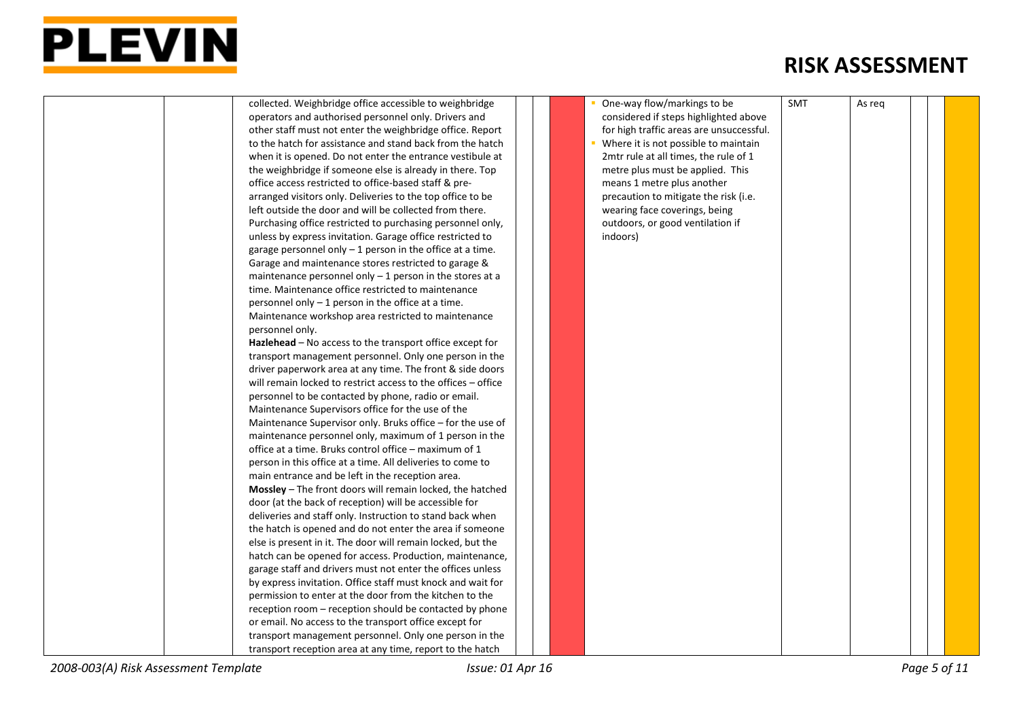

| collected. Weighbridge office accessible to weighbridge       |  | One-way flow/markings to be              | <b>SMT</b> | As reg |
|---------------------------------------------------------------|--|------------------------------------------|------------|--------|
| operators and authorised personnel only. Drivers and          |  | considered if steps highlighted above    |            |        |
| other staff must not enter the weighbridge office. Report     |  | for high traffic areas are unsuccessful. |            |        |
| to the hatch for assistance and stand back from the hatch     |  | • Where it is not possible to maintain   |            |        |
| when it is opened. Do not enter the entrance vestibule at     |  | 2mtr rule at all times, the rule of 1    |            |        |
| the weighbridge if someone else is already in there. Top      |  | metre plus must be applied. This         |            |        |
| office access restricted to office-based staff & pre-         |  | means 1 metre plus another               |            |        |
| arranged visitors only. Deliveries to the top office to be    |  | precaution to mitigate the risk (i.e.    |            |        |
| left outside the door and will be collected from there.       |  | wearing face coverings, being            |            |        |
| Purchasing office restricted to purchasing personnel only,    |  | outdoors, or good ventilation if         |            |        |
| unless by express invitation. Garage office restricted to     |  | indoors)                                 |            |        |
| garage personnel only $-1$ person in the office at a time.    |  |                                          |            |        |
| Garage and maintenance stores restricted to garage &          |  |                                          |            |        |
| maintenance personnel only $-1$ person in the stores at a     |  |                                          |            |        |
| time. Maintenance office restricted to maintenance            |  |                                          |            |        |
| personnel only $-1$ person in the office at a time.           |  |                                          |            |        |
| Maintenance workshop area restricted to maintenance           |  |                                          |            |        |
| personnel only.                                               |  |                                          |            |        |
| Hazlehead - No access to the transport office except for      |  |                                          |            |        |
| transport management personnel. Only one person in the        |  |                                          |            |        |
| driver paperwork area at any time. The front & side doors     |  |                                          |            |        |
| will remain locked to restrict access to the offices - office |  |                                          |            |        |
|                                                               |  |                                          |            |        |
| personnel to be contacted by phone, radio or email.           |  |                                          |            |        |
| Maintenance Supervisors office for the use of the             |  |                                          |            |        |
| Maintenance Supervisor only. Bruks office - for the use of    |  |                                          |            |        |
| maintenance personnel only, maximum of 1 person in the        |  |                                          |            |        |
| office at a time. Bruks control office - maximum of 1         |  |                                          |            |        |
| person in this office at a time. All deliveries to come to    |  |                                          |            |        |
| main entrance and be left in the reception area.              |  |                                          |            |        |
| Mossley - The front doors will remain locked, the hatched     |  |                                          |            |        |
| door (at the back of reception) will be accessible for        |  |                                          |            |        |
| deliveries and staff only. Instruction to stand back when     |  |                                          |            |        |
| the hatch is opened and do not enter the area if someone      |  |                                          |            |        |
| else is present in it. The door will remain locked, but the   |  |                                          |            |        |
| hatch can be opened for access. Production, maintenance,      |  |                                          |            |        |
| garage staff and drivers must not enter the offices unless    |  |                                          |            |        |
| by express invitation. Office staff must knock and wait for   |  |                                          |            |        |
| permission to enter at the door from the kitchen to the       |  |                                          |            |        |
| reception room - reception should be contacted by phone       |  |                                          |            |        |
| or email. No access to the transport office except for        |  |                                          |            |        |
| transport management personnel. Only one person in the        |  |                                          |            |        |
| transport reception area at any time, report to the hatch     |  |                                          |            |        |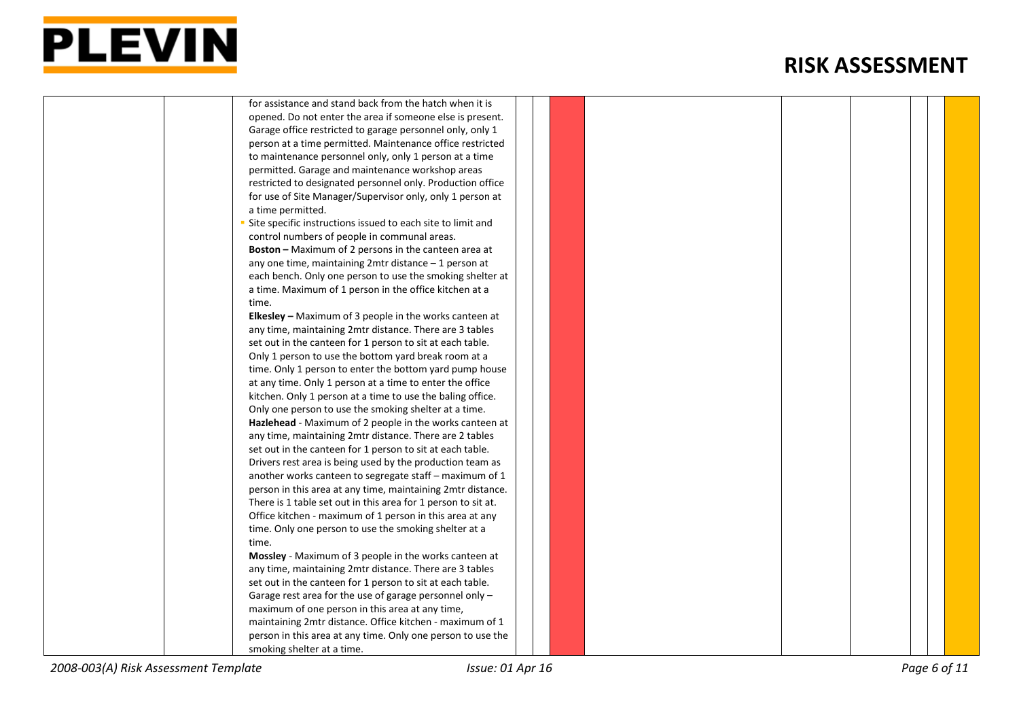

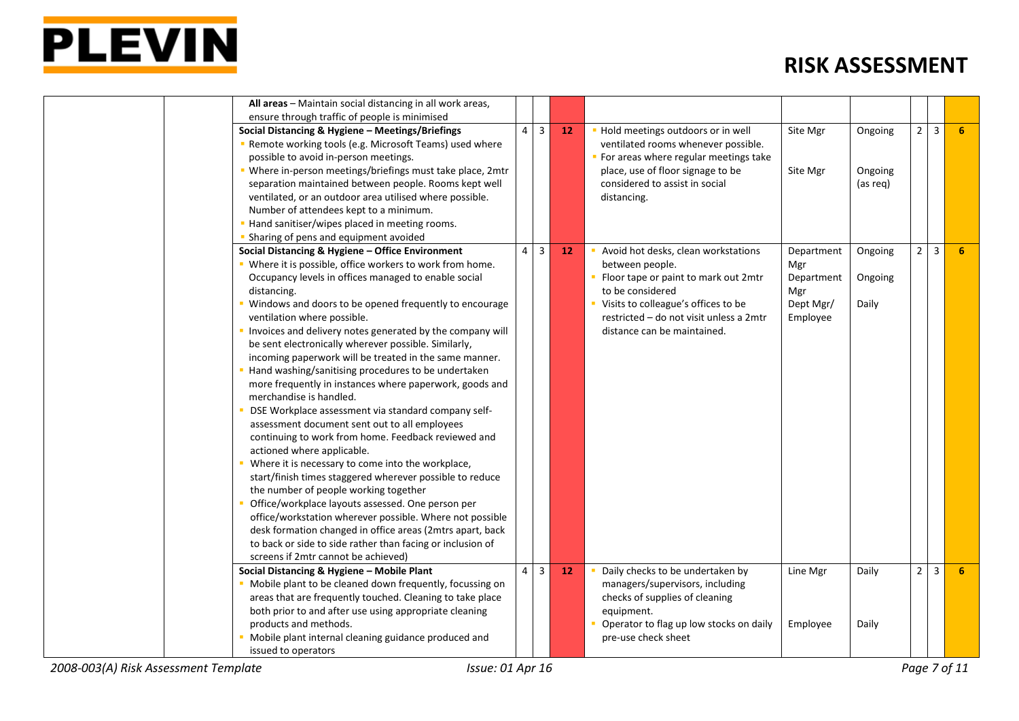

| All areas - Maintain social distancing in all work areas,<br>ensure through traffic of people is minimised                                                                                                                                                                                                                                                                                                                                                                                                                                                                                                                                                                                                                                                                                                                                                                                                                                                                                                                                                                                                                                                                                                                                            |                  |            |    |                                                                                                                                                                                                                                     |                                                                 |                                |                |                         |                |
|-------------------------------------------------------------------------------------------------------------------------------------------------------------------------------------------------------------------------------------------------------------------------------------------------------------------------------------------------------------------------------------------------------------------------------------------------------------------------------------------------------------------------------------------------------------------------------------------------------------------------------------------------------------------------------------------------------------------------------------------------------------------------------------------------------------------------------------------------------------------------------------------------------------------------------------------------------------------------------------------------------------------------------------------------------------------------------------------------------------------------------------------------------------------------------------------------------------------------------------------------------|------------------|------------|----|-------------------------------------------------------------------------------------------------------------------------------------------------------------------------------------------------------------------------------------|-----------------------------------------------------------------|--------------------------------|----------------|-------------------------|----------------|
| Social Distancing & Hygiene - Meetings/Briefings<br>Remote working tools (e.g. Microsoft Teams) used where<br>possible to avoid in-person meetings.<br>" Where in-person meetings/briefings must take place, 2mtr<br>separation maintained between people. Rooms kept well<br>ventilated, or an outdoor area utilised where possible.<br>Number of attendees kept to a minimum.<br>Hand sanitiser/wipes placed in meeting rooms.<br>• Sharing of pens and equipment avoided                                                                                                                                                                                                                                                                                                                                                                                                                                                                                                                                                                                                                                                                                                                                                                           | $4 \overline{3}$ |            | 12 | Hold meetings outdoors or in well<br>ventilated rooms whenever possible.<br>For areas where regular meetings take<br>place, use of floor signage to be<br>considered to assist in social<br>distancing.                             | Site Mgr<br>Site Mgr                                            | Ongoing<br>Ongoing<br>(as req) | 2 <sup>1</sup> | $\overline{3}$          | 6              |
| Social Distancing & Hygiene - Office Environment<br>• Where it is possible, office workers to work from home.<br>Occupancy levels in offices managed to enable social<br>distancing.<br>• Windows and doors to be opened frequently to encourage<br>ventilation where possible.<br>Invoices and delivery notes generated by the company will<br>be sent electronically wherever possible. Similarly,<br>incoming paperwork will be treated in the same manner.<br>Hand washing/sanitising procedures to be undertaken<br>more frequently in instances where paperwork, goods and<br>merchandise is handled.<br>DSE Workplace assessment via standard company self-<br>assessment document sent out to all employees<br>continuing to work from home. Feedback reviewed and<br>actioned where applicable.<br>Where it is necessary to come into the workplace,<br>start/finish times staggered wherever possible to reduce<br>the number of people working together<br>Office/workplace layouts assessed. One person per<br>office/workstation wherever possible. Where not possible<br>desk formation changed in office areas (2mtrs apart, back<br>to back or side to side rather than facing or inclusion of<br>screens if 2mtr cannot be achieved) | $4 \overline{3}$ |            | 12 | Avoid hot desks, clean workstations<br>between people.<br>Floor tape or paint to mark out 2mtr<br>to be considered<br>Visits to colleague's offices to be<br>restricted - do not visit unless a 2mtr<br>distance can be maintained. | Department<br>Mgr<br>Department<br>Mgr<br>Dept Mgr/<br>Employee | Ongoing<br>Ongoing<br>Daily    | 2 <sup>1</sup> | $\overline{3}$          | 6 <sup>1</sup> |
| Social Distancing & Hygiene - Mobile Plant<br>" Mobile plant to be cleaned down frequently, focussing on<br>areas that are frequently touched. Cleaning to take place<br>both prior to and after use using appropriate cleaning<br>products and methods.<br>Mobile plant internal cleaning guidance produced and<br>issued to operators                                                                                                                                                                                                                                                                                                                                                                                                                                                                                                                                                                                                                                                                                                                                                                                                                                                                                                               |                  | $4 \mid 3$ | 12 | Daily checks to be undertaken by<br>managers/supervisors, including<br>checks of supplies of cleaning<br>equipment.<br>Operator to flag up low stocks on daily<br>pre-use check sheet                                               | Line Mgr<br>Employee                                            | Daily<br>Daily                 | 2 <sup>1</sup> | $\overline{\mathbf{3}}$ | 6              |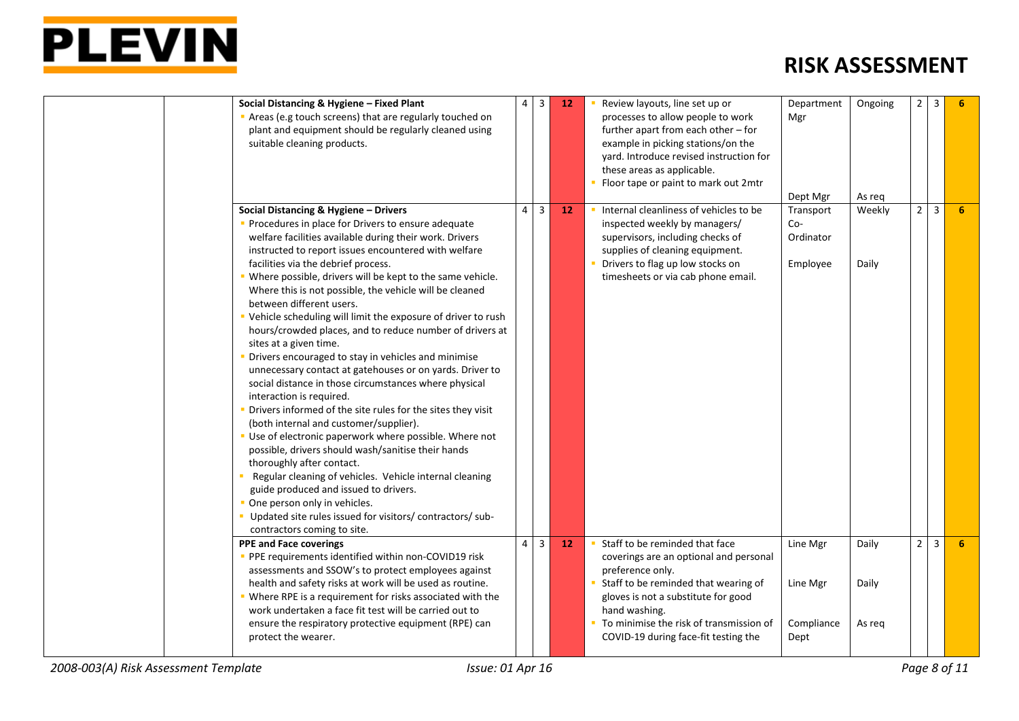

| Social Distancing & Hygiene - Fixed Plant<br>Areas (e.g touch screens) that are regularly touched on<br>plant and equipment should be regularly cleaned using<br>suitable cleaning products.                                                                                                                                                                                                                                                                                                                                                                                                                                                                                                                                                                                                                                                                                                                                                                                                                                                                                                                                                                                                                                                                       | 4              | $\overline{3}$ | 12 | Review layouts, line set up or<br>processes to allow people to work<br>further apart from each other - for<br>example in picking stations/on the<br>yard. Introduce revised instruction for<br>these areas as applicable.<br>Floor tape or paint to mark out 2mtr               | Department<br>Mgr<br>Dept Mgr              | Ongoing<br>As reg        | $\overline{2}$ | 3            | 6 |
|--------------------------------------------------------------------------------------------------------------------------------------------------------------------------------------------------------------------------------------------------------------------------------------------------------------------------------------------------------------------------------------------------------------------------------------------------------------------------------------------------------------------------------------------------------------------------------------------------------------------------------------------------------------------------------------------------------------------------------------------------------------------------------------------------------------------------------------------------------------------------------------------------------------------------------------------------------------------------------------------------------------------------------------------------------------------------------------------------------------------------------------------------------------------------------------------------------------------------------------------------------------------|----------------|----------------|----|---------------------------------------------------------------------------------------------------------------------------------------------------------------------------------------------------------------------------------------------------------------------------------|--------------------------------------------|--------------------------|----------------|--------------|---|
| Social Distancing & Hygiene - Drivers<br>Procedures in place for Drivers to ensure adequate<br>welfare facilities available during their work. Drivers<br>instructed to report issues encountered with welfare<br>facilities via the debrief process.<br>Where possible, drivers will be kept to the same vehicle.<br>Where this is not possible, the vehicle will be cleaned<br>between different users.<br>• Vehicle scheduling will limit the exposure of driver to rush<br>hours/crowded places, and to reduce number of drivers at<br>sites at a given time.<br>Drivers encouraged to stay in vehicles and minimise<br>unnecessary contact at gatehouses or on yards. Driver to<br>social distance in those circumstances where physical<br>interaction is required.<br>Drivers informed of the site rules for the sites they visit<br>(both internal and customer/supplier).<br>" Use of electronic paperwork where possible. Where not<br>possible, drivers should wash/sanitise their hands<br>thoroughly after contact.<br>Regular cleaning of vehicles. Vehicle internal cleaning<br>guide produced and issued to drivers.<br>• One person only in vehicles.<br>Updated site rules issued for visitors/ contractors/ sub-<br>contractors coming to site. | $4 \mid 3$     |                | 12 | Internal cleanliness of vehicles to be<br>inspected weekly by managers/<br>supervisors, including checks of<br>supplies of cleaning equipment.<br>Drivers to flag up low stocks on<br>timesheets or via cab phone email.                                                        | Transport<br>Co-<br>Ordinator<br>Employee  | Weekly<br>Daily          | $2^{\circ}$    | $\mathbf{3}$ | 6 |
| <b>PPE and Face coverings</b><br>PPE requirements identified within non-COVID19 risk<br>assessments and SSOW's to protect employees against<br>health and safety risks at work will be used as routine.<br>Where RPE is a requirement for risks associated with the<br>work undertaken a face fit test will be carried out to<br>ensure the respiratory protective equipment (RPE) can<br>protect the wearer.                                                                                                                                                                                                                                                                                                                                                                                                                                                                                                                                                                                                                                                                                                                                                                                                                                                      | $\overline{4}$ | $\overline{3}$ | 12 | Staff to be reminded that face<br>coverings are an optional and personal<br>preference only.<br>Staff to be reminded that wearing of<br>gloves is not a substitute for good<br>hand washing.<br>To minimise the risk of transmission of<br>COVID-19 during face-fit testing the | Line Mgr<br>Line Mgr<br>Compliance<br>Dept | Daily<br>Daily<br>As reg | $\overline{2}$ | 3            | 6 |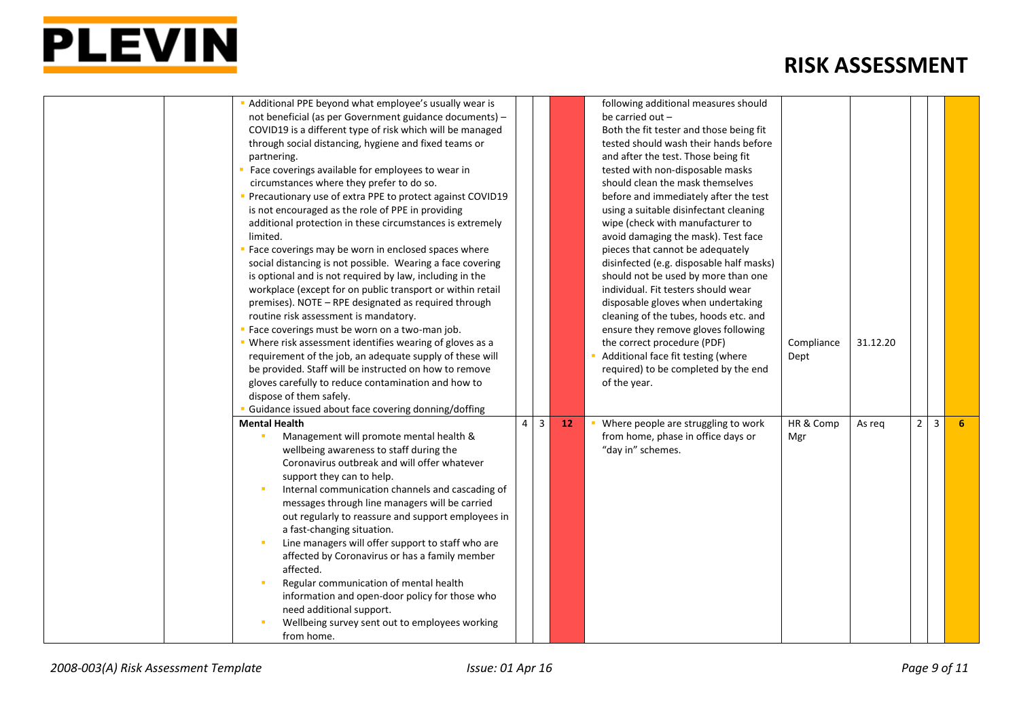

| Additional PPE beyond what employee's usually wear is<br>following additional measures should                                |                |                |   |
|------------------------------------------------------------------------------------------------------------------------------|----------------|----------------|---|
| not beneficial (as per Government guidance documents) -<br>be carried out $-$                                                |                |                |   |
| COVID19 is a different type of risk which will be managed<br>Both the fit tester and those being fit                         |                |                |   |
| tested should wash their hands before<br>through social distancing, hygiene and fixed teams or                               |                |                |   |
| and after the test. Those being fit<br>partnering.                                                                           |                |                |   |
| Face coverings available for employees to wear in<br>tested with non-disposable masks                                        |                |                |   |
| circumstances where they prefer to do so.<br>should clean the mask themselves                                                |                |                |   |
| before and immediately after the test<br>Precautionary use of extra PPE to protect against COVID19                           |                |                |   |
| is not encouraged as the role of PPE in providing<br>using a suitable disinfectant cleaning                                  |                |                |   |
| additional protection in these circumstances is extremely<br>wipe (check with manufacturer to                                |                |                |   |
| avoid damaging the mask). Test face<br>limited.                                                                              |                |                |   |
| Face coverings may be worn in enclosed spaces where<br>pieces that cannot be adequately                                      |                |                |   |
| social distancing is not possible. Wearing a face covering<br>disinfected (e.g. disposable half masks)                       |                |                |   |
| is optional and is not required by law, including in the<br>should not be used by more than one                              |                |                |   |
| workplace (except for on public transport or within retail<br>individual. Fit testers should wear                            |                |                |   |
| premises). NOTE - RPE designated as required through<br>disposable gloves when undertaking                                   |                |                |   |
| routine risk assessment is mandatory.<br>cleaning of the tubes, hoods etc. and                                               |                |                |   |
| " Face coverings must be worn on a two-man job.<br>ensure they remove gloves following                                       |                |                |   |
| • Where risk assessment identifies wearing of gloves as a<br>the correct procedure (PDF)<br>Compliance<br>31.12.20           |                |                |   |
| Additional face fit testing (where<br>requirement of the job, an adequate supply of these will<br>Dept                       |                |                |   |
| be provided. Staff will be instructed on how to remove<br>required) to be completed by the end                               |                |                |   |
| gloves carefully to reduce contamination and how to<br>of the year.                                                          |                |                |   |
| dispose of them safely.                                                                                                      |                |                |   |
| Guidance issued about face covering donning/doffing                                                                          |                |                |   |
| <b>Mental Health</b><br>4 <sup>1</sup><br>HR & Comp<br>$\overline{3}$<br>Where people are struggling to work<br>12<br>As req | 2 <sup>1</sup> | $\overline{3}$ | 6 |
| Management will promote mental health &<br>from home, phase in office days or<br>Mgr                                         |                |                |   |
| wellbeing awareness to staff during the<br>"day in" schemes.                                                                 |                |                |   |
| Coronavirus outbreak and will offer whatever                                                                                 |                |                |   |
| support they can to help.                                                                                                    |                |                |   |
| Internal communication channels and cascading of                                                                             |                |                |   |
| messages through line managers will be carried                                                                               |                |                |   |
| out regularly to reassure and support employees in                                                                           |                |                |   |
| a fast-changing situation.                                                                                                   |                |                |   |
| Line managers will offer support to staff who are                                                                            |                |                |   |
| affected by Coronavirus or has a family member                                                                               |                |                |   |
| affected.                                                                                                                    |                |                |   |
| Regular communication of mental health                                                                                       |                |                |   |
|                                                                                                                              |                |                |   |
|                                                                                                                              |                |                |   |
| information and open-door policy for those who<br>need additional support.                                                   |                |                |   |
| Wellbeing survey sent out to employees working                                                                               |                |                |   |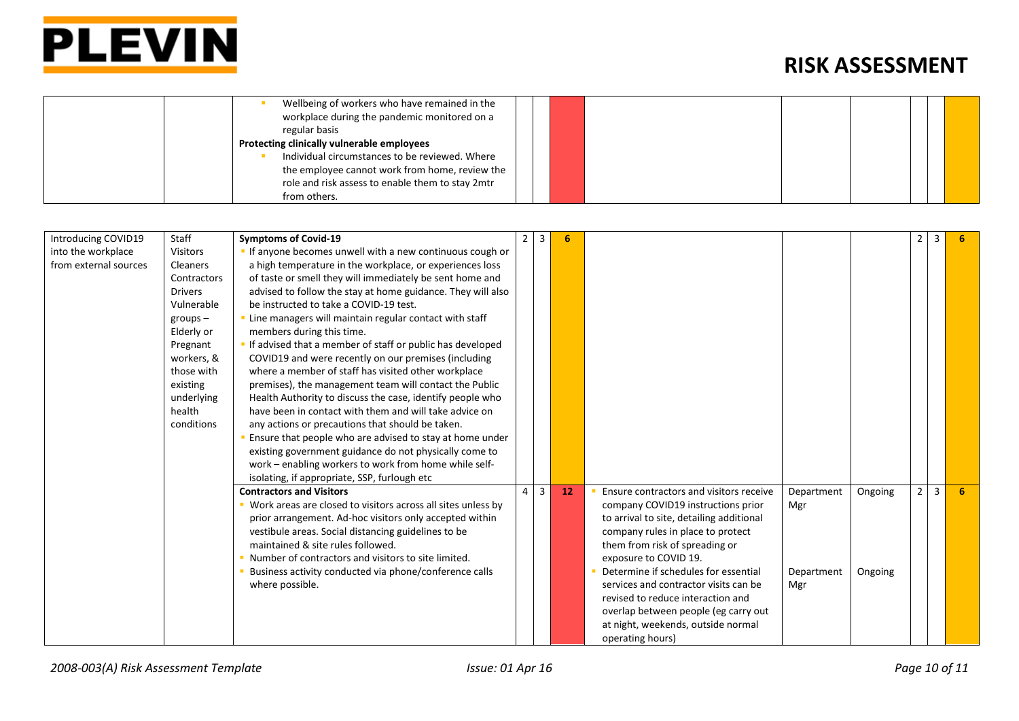

| Wellbeing of workers who have remained in the<br>workplace during the pandemic monitored on a<br>regular basis                                 |  |  |  |  |
|------------------------------------------------------------------------------------------------------------------------------------------------|--|--|--|--|
| Protecting clinically vulnerable employees<br>Individual circumstances to be reviewed. Where<br>the employee cannot work from home, review the |  |  |  |  |
| role and risk assess to enable them to stay 2mtr<br>from others.                                                                               |  |  |  |  |

| Introducing COVID19   | Staff              | <b>Symptoms of Covid-19</b>                                    |   | $\overline{3}$ | 6  |                                          |            |         | $\overline{2}$ | 3              |  |
|-----------------------|--------------------|----------------------------------------------------------------|---|----------------|----|------------------------------------------|------------|---------|----------------|----------------|--|
| into the workplace    | <b>Visitors</b>    | If anyone becomes unwell with a new continuous cough or        |   |                |    |                                          |            |         |                |                |  |
| from external sources | <b>Cleaners</b>    | a high temperature in the workplace, or experiences loss       |   |                |    |                                          |            |         |                |                |  |
|                       | <b>Contractors</b> | of taste or smell they will immediately be sent home and       |   |                |    |                                          |            |         |                |                |  |
|                       | <b>Drivers</b>     | advised to follow the stay at home guidance. They will also    |   |                |    |                                          |            |         |                |                |  |
|                       | Vulnerable         | be instructed to take a COVID-19 test.                         |   |                |    |                                          |            |         |                |                |  |
|                       | $groups -$         | Line managers will maintain regular contact with staff         |   |                |    |                                          |            |         |                |                |  |
|                       | Elderly or         | members during this time.                                      |   |                |    |                                          |            |         |                |                |  |
|                       | Pregnant           | If advised that a member of staff or public has developed      |   |                |    |                                          |            |         |                |                |  |
|                       | workers, &         | COVID19 and were recently on our premises (including           |   |                |    |                                          |            |         |                |                |  |
|                       | those with         | where a member of staff has visited other workplace            |   |                |    |                                          |            |         |                |                |  |
|                       | existing           | premises), the management team will contact the Public         |   |                |    |                                          |            |         |                |                |  |
|                       | underlying         | Health Authority to discuss the case, identify people who      |   |                |    |                                          |            |         |                |                |  |
|                       | health             | have been in contact with them and will take advice on         |   |                |    |                                          |            |         |                |                |  |
|                       | conditions         | any actions or precautions that should be taken.               |   |                |    |                                          |            |         |                |                |  |
|                       |                    | Ensure that people who are advised to stay at home under       |   |                |    |                                          |            |         |                |                |  |
|                       |                    | existing government guidance do not physically come to         |   |                |    |                                          |            |         |                |                |  |
|                       |                    | work - enabling workers to work from home while self-          |   |                |    |                                          |            |         |                |                |  |
|                       |                    | isolating, if appropriate, SSP, furlough etc                   |   |                |    |                                          |            |         |                |                |  |
|                       |                    | <b>Contractors and Visitors</b>                                | 4 | 3              | 12 | Ensure contractors and visitors receive  | Department | Ongoing | $2^{\circ}$    | $\overline{3}$ |  |
|                       |                    | • Work areas are closed to visitors across all sites unless by |   |                |    | company COVID19 instructions prior       | Mgr        |         |                |                |  |
|                       |                    | prior arrangement. Ad-hoc visitors only accepted within        |   |                |    | to arrival to site, detailing additional |            |         |                |                |  |
|                       |                    | vestibule areas. Social distancing guidelines to be            |   |                |    | company rules in place to protect        |            |         |                |                |  |
|                       |                    | maintained & site rules followed.                              |   |                |    | them from risk of spreading or           |            |         |                |                |  |
|                       |                    | Number of contractors and visitors to site limited.            |   |                |    | exposure to COVID 19.                    |            |         |                |                |  |
|                       |                    | Business activity conducted via phone/conference calls         |   |                |    | Determine if schedules for essential     | Department | Ongoing |                |                |  |
|                       |                    | where possible.                                                |   |                |    | services and contractor visits can be    | Mgr        |         |                |                |  |
|                       |                    |                                                                |   |                |    | revised to reduce interaction and        |            |         |                |                |  |
|                       |                    |                                                                |   |                |    | overlap between people (eg carry out     |            |         |                |                |  |
|                       |                    |                                                                |   |                |    | at night, weekends, outside normal       |            |         |                |                |  |
|                       |                    |                                                                |   |                |    | operating hours)                         |            |         |                |                |  |